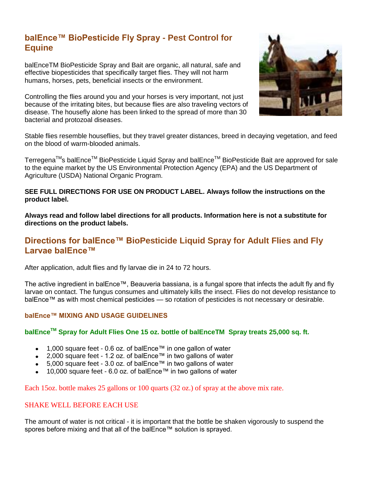# **balEnce™ BioPesticide Fly Spray - Pest Control for Equine**

balEnceTM BioPesticide Spray and Bait are organic, all natural, safe and effective biopesticides that specifically target flies. They will not harm humans, horses, pets, beneficial insects or the environment.

Controlling the flies around you and your horses is very important, not just because of the irritating bites, but because flies are also traveling vectors of disease. The housefly alone has been linked to the spread of more than 30 bacterial and protozoal diseases.



Stable flies resemble houseflies, but they travel greater distances, breed in decaying vegetation, and feed on the blood of warm-blooded animals.

Terregena™s balEnce<sup>™</sup> BioPesticide Liquid Spray and balEnce<sup>™</sup> BioPesticide Bait are approved for sale to the equine market by the US Environmental Protection Agency (EPA) and the US Department of Agriculture (USDA) National Organic Program.

#### **SEE FULL DIRECTIONS FOR USE ON PRODUCT LABEL. Always follow the instructions on the product label.**

**Always read and follow label directions for all products. Information here is not a substitute for directions on the product labels.**

## **Directions for balEnce™ BioPesticide Liquid Spray for Adult Flies and Fly Larvae balEnce™**

After application, adult flies and fly larvae die in 24 to 72 hours.

The active ingredient in balEnce™, Beauveria bassiana, is a fungal spore that infects the adult fly and fly larvae on contact. The fungus consumes and ultimately kills the insect. Flies do not develop resistance to balEnce™ as with most chemical pesticides — so rotation of pesticides is not necessary or desirable.

## **balEnce™ MIXING AND USAGE GUIDELINES**

## **balEnceTM Spray for Adult Flies One 15 oz. bottle of balEnceTM Spray treats 25,000 sq. ft.**

- 1,000 square feet 0.6 oz. of balEnce™ in one gallon of water
- 2,000 square feet 1.2 oz. of balEnce™ in two gallons of water
- 5,000 square feet 3.0 oz. of balEnce™ in two gallons of water
- 10,000 square feet 6.0 oz. of balEnce™ in two gallons of water

Each 15oz. bottle makes 25 gallons or 100 quarts (32 oz.) of spray at the above mix rate.

## SHAKE WELL BEFORE EACH USE

The amount of water is not critical - it is important that the bottle be shaken vigorously to suspend the spores before mixing and that all of the balEnce™ solution is sprayed.